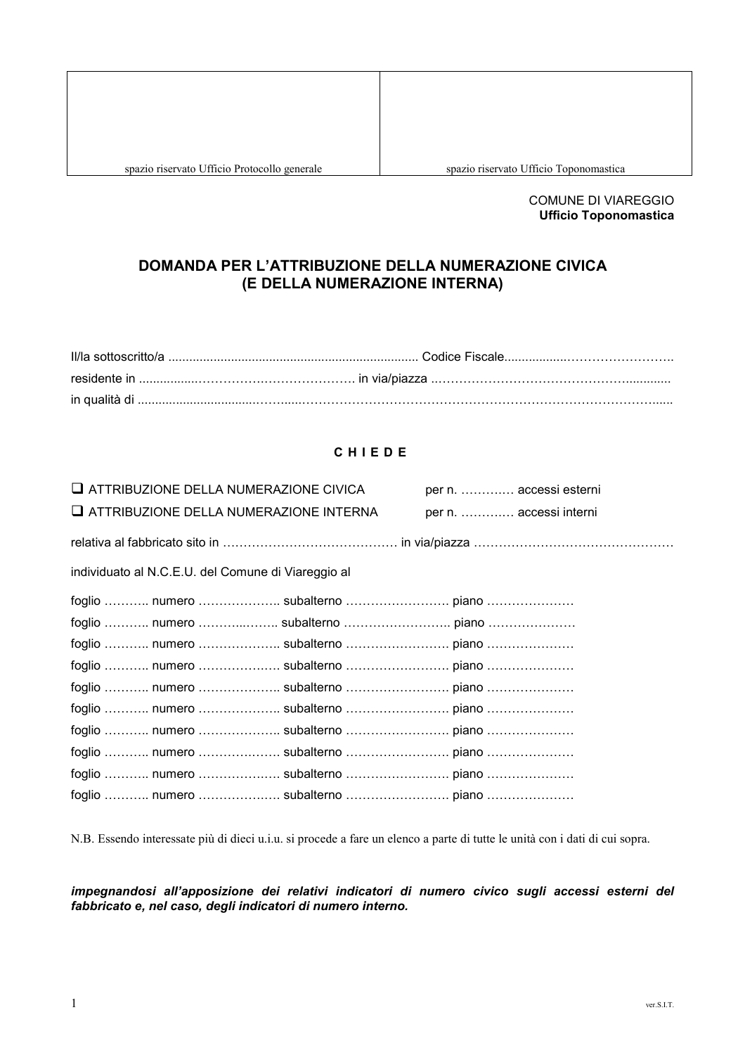spazio riservato Ufficio Toponomastica

## **COMUNE DI VIAREGGIO Ufficio Toponomastica**

# DOMANDA PER L'ATTRIBUZIONE DELLA NUMERAZIONE CIVICA (E DELLA NUMERAZIONE INTERNA)

## CHIEDE

| $\Box$ ATTRIBUZIONE DELLA NUMERAZIONE CIVICA       |  | per n.  accessi esterni |  |
|----------------------------------------------------|--|-------------------------|--|
| $\sqcup$ attribuzione della numerazione interna    |  | per n.  accessi interni |  |
|                                                    |  |                         |  |
| individuato al N.C.E.U. del Comune di Viareggio al |  |                         |  |
|                                                    |  |                         |  |
|                                                    |  |                         |  |
|                                                    |  |                         |  |
|                                                    |  |                         |  |
|                                                    |  |                         |  |
|                                                    |  |                         |  |
|                                                    |  |                         |  |
|                                                    |  |                         |  |
|                                                    |  |                         |  |
|                                                    |  |                         |  |

N.B. Essendo interessate più di dieci u.i.u. si procede a fare un elenco a parte di tutte le unità con i dati di cui sopra.

impegnandosi all'apposizione dei relativi indicatori di numero civico sugli accessi esterni del fabbricato e, nel caso, degli indicatori di numero interno.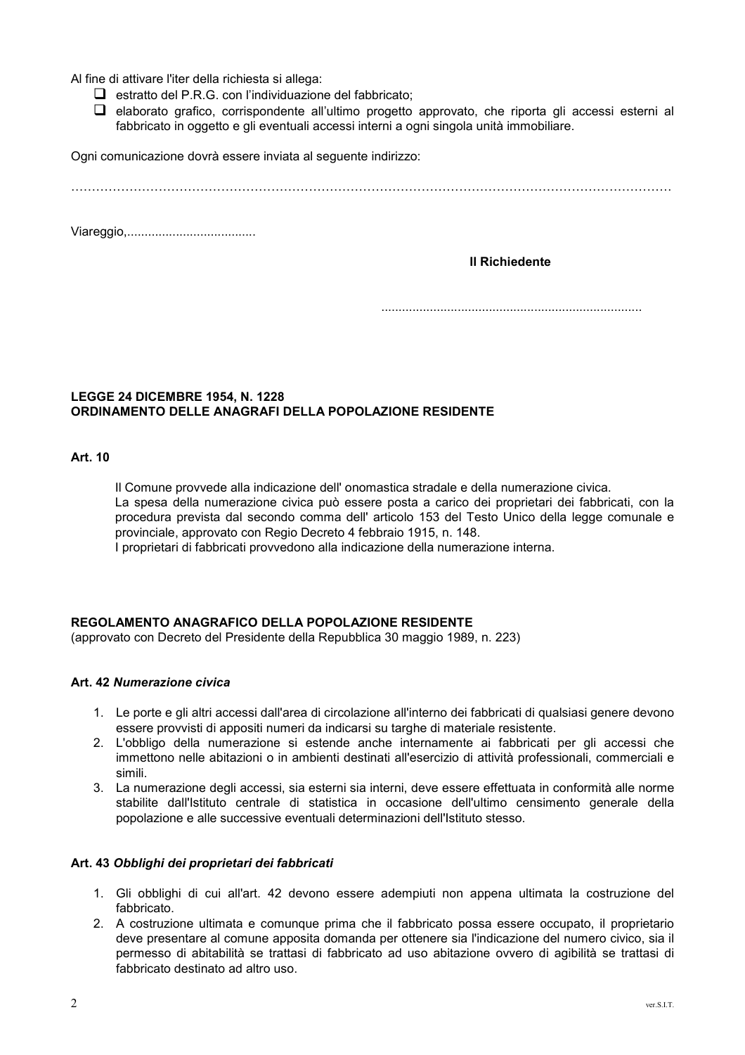Al fine di attivare l'iter della richiesta si allega:

- $\Box$  estratto del P.R.G. con l'individuazione del fabbricato;
- $\Box$  elaborato grafico, corrispondente all'ultimo progetto approvato, che riporta gli accessi esterni al fabbricato in oggetto e gli eventuali accessi interni a ogni singola unità immobiliare.

Ogni comunicazione dovrà essere inviata al seguente indirizzo:

**Il Richiedente** 

## **LEGGE 24 DICEMBRE 1954, N. 1228** ORDINAMENTO DELLE ANAGRAFI DELLA POPOLAZIONE RESIDENTE

Art. 10

Il Comune provvede alla indicazione dell' onomastica stradale e della numerazione civica. La spesa della numerazione civica può essere posta a carico dei proprietari dei fabbricati, con la procedura prevista dal secondo comma dell' articolo 153 del Testo Unico della legge comunale e provinciale, approvato con Regio Decreto 4 febbraio 1915, n. 148.

I proprietari di fabbricati provvedono alla indicazione della numerazione interna.

## REGOLAMENTO ANAGRAFICO DELLA POPOLAZIONE RESIDENTE

(approvato con Decreto del Presidente della Repubblica 30 maggio 1989, n. 223)

## Art. 42 Numerazione civica

- 1. Le porte e gli altri accessi dall'area di circolazione all'interno dei fabbricati di gualsiasi genere devono essere provvisti di appositi numeri da indicarsi su targhe di materiale resistente.
- 2. L'obbligo della numerazione si estende anche internamente ai fabbricati per gli accessi che immettono nelle abitazioni o in ambienti destinati all'esercizio di attività professionali, commerciali e cimili
- 3. La numerazione degli accessi, sia esterni sia interni, deve essere effettuata in conformità alle norme stabilite dall'Istituto centrale di statistica in occasione dell'ultimo censimento generale della popolazione e alle successive eventuali determinazioni dell'Istituto stesso.

## Art. 43 Obblighi dei proprietari dei fabbricati

- 1. Gli obblighi di cui all'art. 42 devono essere adempiuti non appena ultimata la costruzione del fabbricato.
- 2. A costruzione ultimata e comunque prima che il fabbricato possa essere occupato, il proprietario deve presentare al comune apposita domanda per ottenere sia l'indicazione del numero civico, sia il permesso di abitabilità se trattasi di fabbricato ad uso abitazione ovvero di agibilità se trattasi di fabbricato destinato ad altro uso.